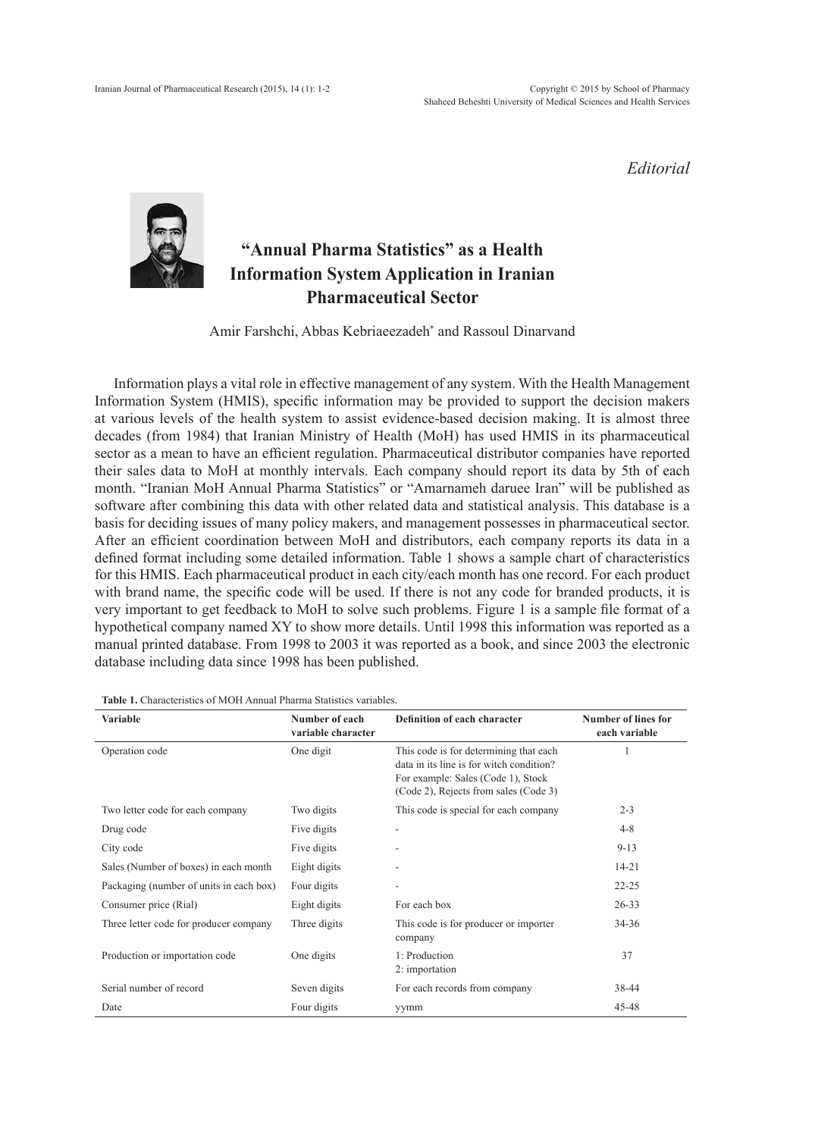*Editorial*



## **"Annual Pharma Statistics" as a Health Information System Application in Iranian Pharmaceutical Sector**

Amir Farshchi, Abbas Kebriaeezadeh\* and Rassoul Dinarvand

Information plays a vital role in effective management of any system. With the Health Management Information System (HMIS), specific information may be provided to support the decision makers at various levels of the health system to assist evidence-based decision making. It is almost three decades (from 1984) that Iranian Ministry of Health (MoH) has used HMIS in its pharmaceutical sector as a mean to have an efficient regulation. Pharmaceutical distributor companies have reported their sales data to MoH at monthly intervals. Each company should report its data by 5th of each month. "Iranian MoH Annual Pharma Statistics" or "Amarnameh daruee Iran" will be published as software after combining this data with other related data and statistical analysis. This database is a basis for deciding issues of many policy makers, and management possesses in pharmaceutical sector. After an efficient coordination between MoH and distributors, each company reports its data in a defined format including some detailed information. Table 1 shows a sample chart of characteristics for this HMIS. Each pharmaceutical product in each city/each month has one record. For each product with brand name, the specific code will be used. If there is not any code for branded products, it is very important to get feedback to MoH to solve such problems. Figure 1 is a sample file format of a hypothetical company named XY to show more details. Until 1998 this information was reported as a manual printed database. From 1998 to 2003 it was reported as a book, and since 2003 the electronic database including data since 1998 has been published.

| <b>Variable</b>                         | Number of each<br>variable character | Definition of each character                                                                                                                                      | <b>Number of lines for</b><br>each variable |
|-----------------------------------------|--------------------------------------|-------------------------------------------------------------------------------------------------------------------------------------------------------------------|---------------------------------------------|
| Operation code                          | One digit                            | This code is for determining that each<br>data in its line is for witch condition?<br>For example: Sales (Code 1), Stock<br>(Code 2), Rejects from sales (Code 3) |                                             |
| Two letter code for each company        | Two digits                           | This code is special for each company                                                                                                                             | $2 - 3$                                     |
| Drug code                               | Five digits                          |                                                                                                                                                                   | $4 - 8$                                     |
| City code                               | Five digits                          |                                                                                                                                                                   | $9 - 13$                                    |
| Sales (Number of boxes) in each month   | Eight digits                         |                                                                                                                                                                   | $14 - 21$                                   |
| Packaging (number of units in each box) | Four digits                          |                                                                                                                                                                   | $22 - 25$                                   |
| Consumer price (Rial)                   | Eight digits                         | For each box                                                                                                                                                      | $26 - 33$                                   |
| Three letter code for producer company  | Three digits                         | This code is for producer or importer<br>company                                                                                                                  | 34-36                                       |
| Production or importation code          | One digits                           | 1: Production<br>2: importation                                                                                                                                   | 37                                          |
| Serial number of record                 | Seven digits                         | For each records from company                                                                                                                                     | 38-44                                       |
| Date                                    | Four digits                          | yymm                                                                                                                                                              | 45-48                                       |

**Table 1.** Characteristics of MOH Annual Pharma Statistics variables.